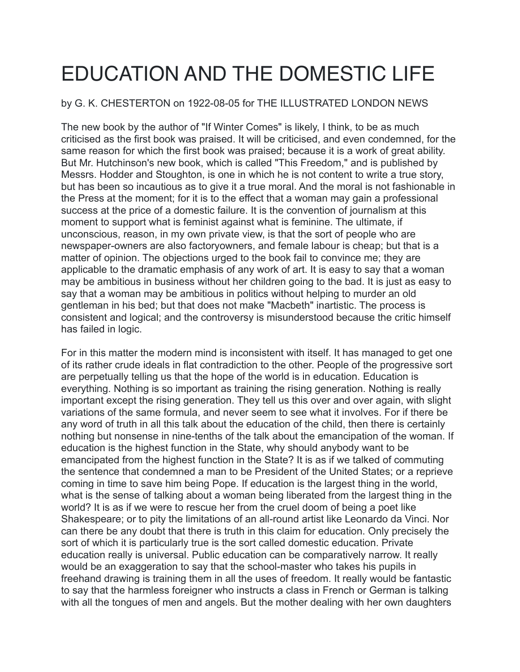## EDUCATION AND THE DOMESTIC LIFE

## by G. K. CHESTERTON on 1922-08-05 for THE ILLUSTRATED LONDON NEWS

The new book by the author of "If Winter Comes" is likely, I think, to be as much criticised as the first book was praised. It will be criticised, and even condemned, for the same reason for which the first book was praised; because it is a work of great ability. But Mr. Hutchinson's new book, which is called "This Freedom," and is published by Messrs. Hodder and Stoughton, is one in which he is not content to write a true story, but has been so incautious as to give it a true moral. And the moral is not fashionable in the Press at the moment; for it is to the effect that a woman may gain a professional success at the price of a domestic failure. It is the convention of journalism at this moment to support what is feminist against what is feminine. The ultimate, if unconscious, reason, in my own private view, is that the sort of people who are newspaper-owners are also factoryowners, and female labour is cheap; but that is a matter of opinion. The objections urged to the book fail to convince me; they are applicable to the dramatic emphasis of any work of art. It is easy to say that a woman may be ambitious in business without her children going to the bad. It is just as easy to say that a woman may be ambitious in politics without helping to murder an old gentleman in his bed; but that does not make "Macbeth" inartistic. The process is consistent and logical; and the controversy is misunderstood because the critic himself has failed in logic.

For in this matter the modern mind is inconsistent with itself. It has managed to get one of its rather crude ideals in flat contradiction to the other. People of the progressive sort are perpetually telling us that the hope of the world is in education. Education is everything. Nothing is so important as training the rising generation. Nothing is really important except the rising generation. They tell us this over and over again, with slight variations of the same formula, and never seem to see what it involves. For if there be any word of truth in all this talk about the education of the child, then there is certainly nothing but nonsense in nine-tenths of the talk about the emancipation of the woman. If education is the highest function in the State, why should anybody want to be emancipated from the highest function in the State? It is as if we talked of commuting the sentence that condemned a man to be President of the United States; or a reprieve coming in time to save him being Pope. If education is the largest thing in the world, what is the sense of talking about a woman being liberated from the largest thing in the world? It is as if we were to rescue her from the cruel doom of being a poet like Shakespeare; or to pity the limitations of an all-round artist like Leonardo da Vinci. Nor can there be any doubt that there is truth in this claim for education. Only precisely the sort of which it is particularly true is the sort called domestic education. Private education really is universal. Public education can be comparatively narrow. It really would be an exaggeration to say that the school-master who takes his pupils in freehand drawing is training them in all the uses of freedom. It really would be fantastic to say that the harmless foreigner who instructs a class in French or German is talking with all the tongues of men and angels. But the mother dealing with her own daughters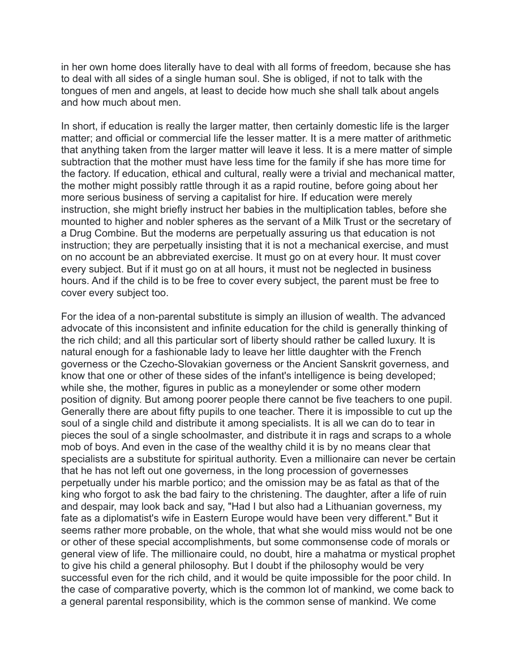in her own home does literally have to deal with all forms of freedom, because she has to deal with all sides of a single human soul. She is obliged, if not to talk with the tongues of men and angels, at least to decide how much she shall talk about angels and how much about men.

In short, if education is really the larger matter, then certainly domestic life is the larger matter; and official or commercial life the lesser matter. It is a mere matter of arithmetic that anything taken from the larger matter will leave it less. It is a mere matter of simple subtraction that the mother must have less time for the family if she has more time for the factory. If education, ethical and cultural, really were a trivial and mechanical matter, the mother might possibly rattle through it as a rapid routine, before going about her more serious business of serving a capitalist for hire. If education were merely instruction, she might briefly instruct her babies in the multiplication tables, before she mounted to higher and nobler spheres as the servant of a Milk Trust or the secretary of a Drug Combine. But the moderns are perpetually assuring us that education is not instruction; they are perpetually insisting that it is not a mechanical exercise, and must on no account be an abbreviated exercise. It must go on at every hour. It must cover every subject. But if it must go on at all hours, it must not be neglected in business hours. And if the child is to be free to cover every subject, the parent must be free to cover every subject too.

For the idea of a non-parental substitute is simply an illusion of wealth. The advanced advocate of this inconsistent and infinite education for the child is generally thinking of the rich child; and all this particular sort of liberty should rather be called luxury. It is natural enough for a fashionable lady to leave her little daughter with the French governess or the Czecho-Slovakian governess or the Ancient Sanskrit governess, and know that one or other of these sides of the infant's intelligence is being developed; while she, the mother, figures in public as a moneylender or some other modern position of dignity. But among poorer people there cannot be five teachers to one pupil. Generally there are about fifty pupils to one teacher. There it is impossible to cut up the soul of a single child and distribute it among specialists. It is all we can do to tear in pieces the soul of a single schoolmaster, and distribute it in rags and scraps to a whole mob of boys. And even in the case of the wealthy child it is by no means clear that specialists are a substitute for spiritual authority. Even a millionaire can never be certain that he has not left out one governess, in the long procession of governesses perpetually under his marble portico; and the omission may be as fatal as that of the king who forgot to ask the bad fairy to the christening. The daughter, after a life of ruin and despair, may look back and say, "Had I but also had a Lithuanian governess, my fate as a diplomatist's wife in Eastern Europe would have been very different." But it seems rather more probable, on the whole, that what she would miss would not be one or other of these special accomplishments, but some commonsense code of morals or general view of life. The millionaire could, no doubt, hire a mahatma or mystical prophet to give his child a general philosophy. But I doubt if the philosophy would be very successful even for the rich child, and it would be quite impossible for the poor child. In the case of comparative poverty, which is the common lot of mankind, we come back to a general parental responsibility, which is the common sense of mankind. We come